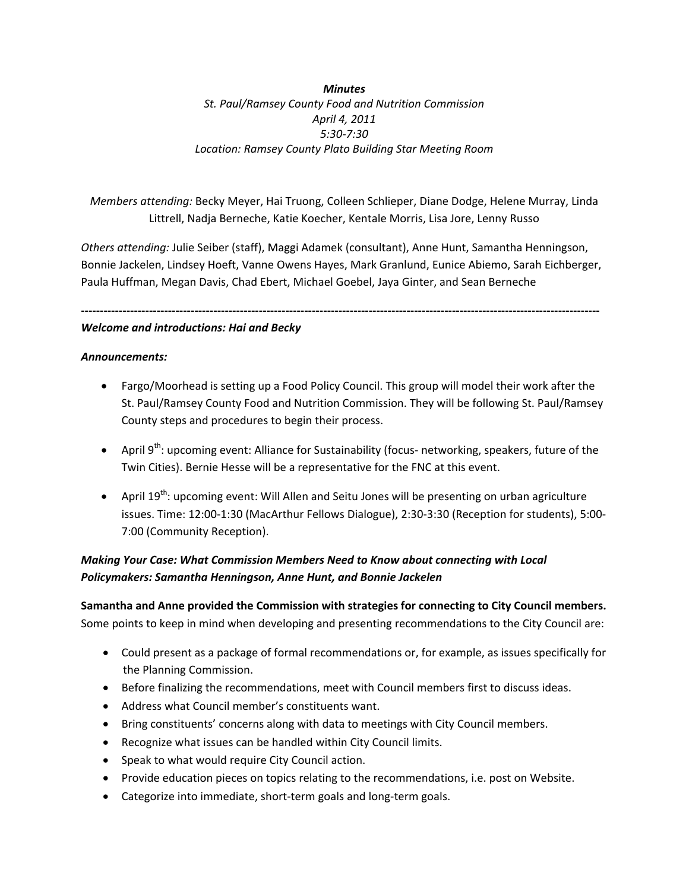*Minutes St. Paul/Ramsey County Food and Nutrition Commission April 4, 2011 5:30‐7:30 Location: Ramsey County Plato Building Star Meeting Room*

*Members attending:* Becky Meyer, Hai Truong, Colleen Schlieper, Diane Dodge, Helene Murray, Linda Littrell, Nadja Berneche, Katie Koecher, Kentale Morris, Lisa Jore, Lenny Russo

*Others attending:* Julie Seiber (staff), Maggi Adamek (consultant), Anne Hunt, Samantha Henningson, Bonnie Jackelen, Lindsey Hoeft, Vanne Owens Hayes, Mark Granlund, Eunice Abiemo, Sarah Eichberger, Paula Huffman, Megan Davis, Chad Ebert, Michael Goebel, Jaya Ginter, and Sean Berneche

**‐‐‐‐‐‐‐‐‐‐‐‐‐‐‐‐‐‐‐‐‐‐‐‐‐‐‐‐‐‐‐‐‐‐‐‐‐‐‐‐‐‐‐‐‐‐‐‐‐‐‐‐‐‐‐‐‐‐‐‐‐‐‐‐‐‐‐‐‐‐‐‐‐‐‐‐‐‐‐‐‐‐‐‐‐‐‐‐‐‐‐‐‐‐‐‐‐‐‐‐‐‐‐‐‐‐‐‐‐‐‐‐‐‐‐‐‐‐‐‐‐‐‐‐‐‐‐‐‐‐‐‐‐‐‐‐‐** 

#### *Welcome and introductions: Hai and Becky*

#### *Announcements:*

- Fargo/Moorhead is setting up a Food Policy Council. This group will model their work after the St. Paul/Ramsey County Food and Nutrition Commission. They will be following St. Paul/Ramsey County steps and procedures to begin their process.
- April 9<sup>th</sup>: upcoming event: Alliance for Sustainability (focus- networking, speakers, future of the Twin Cities). Bernie Hesse will be a representative for the FNC at this event.
- April 19<sup>th</sup>: upcoming event: Will Allen and Seitu Jones will be presenting on urban agriculture issues. Time: 12:00‐1:30 (MacArthur Fellows Dialogue), 2:30‐3:30 (Reception for students), 5:00‐ 7:00 (Community Reception).

# *Making Your Case: What Commission Members Need to Know about connecting with Local Policymakers: Samantha Henningson, Anne Hunt, and Bonnie Jackelen*

**Samantha and Anne provided the Commission with strategies for connecting to City Council members.** Some points to keep in mind when developing and presenting recommendations to the City Council are:

- Could present as a package of formal recommendations or, for example, as issues specifically for the Planning Commission.
- Before finalizing the recommendations, meet with Council members first to discuss ideas.
- Address what Council member's constituents want.
- Bring constituents' concerns along with data to meetings with City Council members.
- Recognize what issues can be handled within City Council limits.
- Speak to what would require City Council action.
- Provide education pieces on topics relating to the recommendations, i.e. post on Website.
- Categorize into immediate, short-term goals and long-term goals.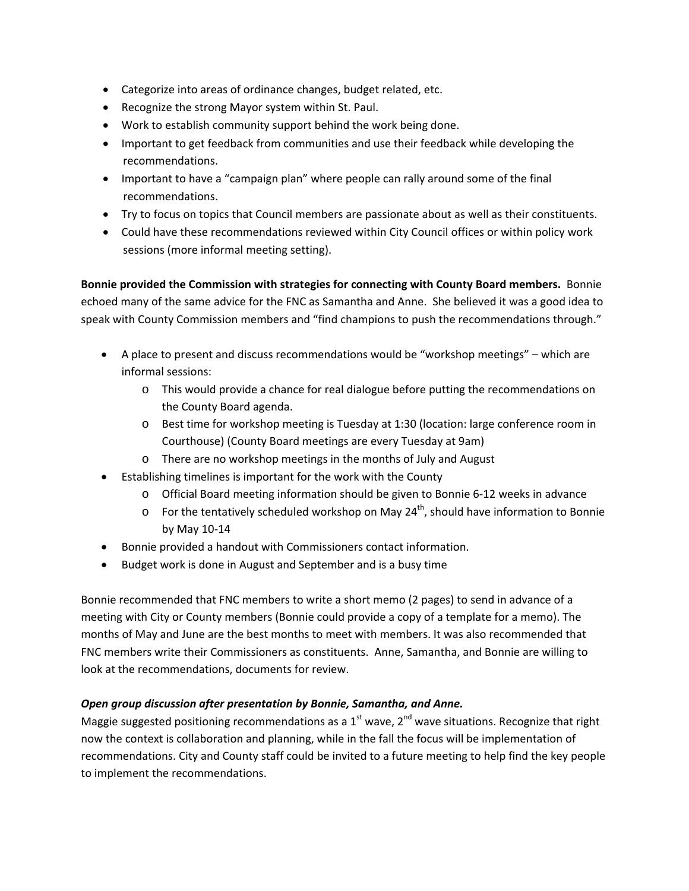- Categorize into areas of ordinance changes, budget related, etc.
- Recognize the strong Mayor system within St. Paul.
- Work to establish community support behind the work being done.
- Important to get feedback from communities and use their feedback while developing the recommendations.
- Important to have a "campaign plan" where people can rally around some of the final recommendations.
- Try to focus on topics that Council members are passionate about as well as their constituents.
- Could have these recommendations reviewed within City Council offices or within policy work sessions (more informal meeting setting).

**Bonnie provided the Commission with strategies for connecting with County Board members.** Bonnie echoed many of the same advice for the FNC as Samantha and Anne. She believed it was a good idea to speak with County Commission members and "find champions to push the recommendations through."

- A place to present and discuss recommendations would be "workshop meetings" which are informal sessions:
	- o This would provide a chance for real dialogue before putting the recommendations on the County Board agenda.
	- o Best time for workshop meeting is Tuesday at 1:30 (location: large conference room in Courthouse) (County Board meetings are every Tuesday at 9am)
	- o There are no workshop meetings in the months of July and August
- Establishing timelines is important for the work with the County
	- o Official Board meeting information should be given to Bonnie 6‐12 weeks in advance
	- $\circ$  For the tentatively scheduled workshop on May 24<sup>th</sup>, should have information to Bonnie by May 10‐14
- Bonnie provided a handout with Commissioners contact information.
- Budget work is done in August and September and is a busy time

Bonnie recommended that FNC members to write a short memo (2 pages) to send in advance of a meeting with City or County members (Bonnie could provide a copy of a template for a memo). The months of May and June are the best months to meet with members. It was also recommended that FNC members write their Commissioners as constituents. Anne, Samantha, and Bonnie are willing to look at the recommendations, documents for review.

#### *Open group discussion after presentation by Bonnie, Samantha, and Anne.*

Maggie suggested positioning recommendations as a  $1<sup>st</sup>$  wave,  $2<sup>nd</sup>$  wave situations. Recognize that right now the context is collaboration and planning, while in the fall the focus will be implementation of recommendations. City and County staff could be invited to a future meeting to help find the key people to implement the recommendations.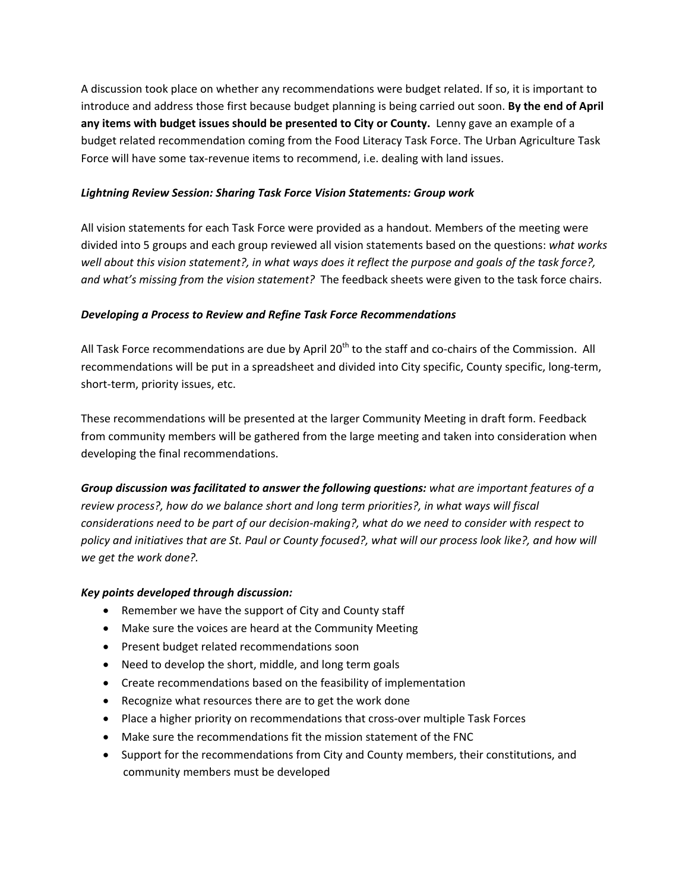A discussion took place on whether any recommendations were budget related. If so, it is important to introduce and address those first because budget planning is being carried out soon. **By the end of April any items with budget issues should be presented to City or County.** Lenny gave an example of a budget related recommendation coming from the Food Literacy Task Force. The Urban Agriculture Task Force will have some tax-revenue items to recommend, i.e. dealing with land issues.

#### *Lightning Review Session: Sharing Task Force Vision Statements: Group work*

All vision statements for each Task Force were provided as a handout. Members of the meeting were divided into 5 groups and each group reviewed all vision statements based on the questions: *what works* well about this vision statement?, in what ways does it reflect the purpose and goals of the task force?, *and what's missing from the vision statement?* The feedback sheets were given to the task force chairs.

### *Developing a Process to Review and Refine Task Force Recommendations*

All Task Force recommendations are due by April 20<sup>th</sup> to the staff and co-chairs of the Commission. All recommendations will be put in a spreadsheet and divided into City specific, County specific, long-term, short‐term, priority issues, etc.

These recommendations will be presented at the larger Community Meeting in draft form. Feedback from community members will be gathered from the large meeting and taken into consideration when developing the final recommendations.

*Group discussion was facilitated to answer the following questions: what are important features of a review process?, how do we balance short and long term priorities?, in what ways will fiscal* considerations need to be part of our decision-making?, what do we need to consider with respect to policy and initiatives that are St. Paul or County focused?, what will our process look like?, and how will *we get the work done?.*

#### *Key points developed through discussion:*

- Remember we have the support of City and County staff
- Make sure the voices are heard at the Community Meeting
- **•** Present budget related recommendations soon
- Need to develop the short, middle, and long term goals
- Create recommendations based on the feasibility of implementation
- Recognize what resources there are to get the work done
- Place a higher priority on recommendations that cross-over multiple Task Forces
- Make sure the recommendations fit the mission statement of the FNC
- Support for the recommendations from City and County members, their constitutions, and community members must be developed